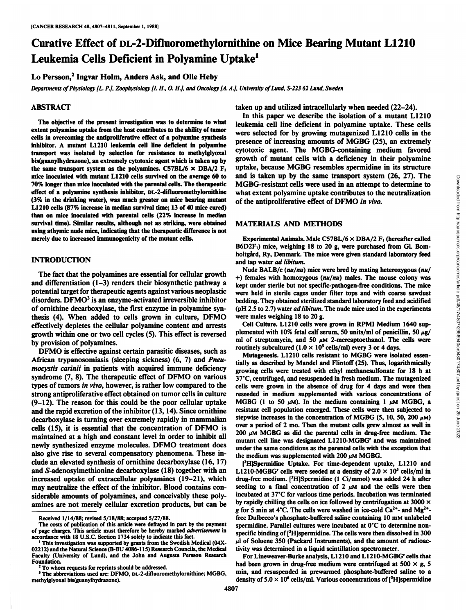# Curative Effect of DL-2-Difluoromethylornithine on Mice Bearing Mutant LI 210 Leukemia Cells Deficient in Polyamine Uptake<sup>1</sup>

Lo Persson,<sup>2</sup> Ingvar Holm, Anders Ask, and Olle Heby

*Departmentsof Physiology[L. P.],Zoophysiology[I. H., O. H.J,and Oncology[A.A.J, Universityof Lund, S-223 62 Lund, Sweden*

## ABSTRACT

The objective of the present investigation was to determine to what extent polyamine uptake from the host contributes to the ability of tumor cells in overcoming the antiproliferative effect of a polyamine synthesis inhibitor. A mutant L1210 leukemia cell line deficient in polyamine transport was isolated by selection for resistance to methylglyoxal bis(guanylhydrazone), an extremely cytotoxic agent which is taken up by the same transport system as the polyamines. C57BL/6  $\times$  DBA/2 F<sub>1</sub> mice inoculated with mutant L1210 cells survived on the average 60 to 70% longer than mice inoculated with the parental cells. The therapeutic effect of a polyamine synthesis inhibitor, DL-2-difluoromethylornithine (3% in the drinking water), was much greater on mice bearing mutant L1210 cells (87% increase in median survival time; 13 of 40 mice cured) than on mice inoculated with parental cells (22% increase in median survival time). Similar results, although not as striking, were obtained using athymic nude mice, indicating that the therapeutic difference is not merely due to increased immunogenicity of the mutant cells.

## **INTRODUCTION**

The fact that the polyamines are essential for cellular growth and differentiation (1-3) renders their biosynthetic pathway a potential target for therapeutic agents against various neoplastic disorders. DFMO<sup>3</sup> is an enzyme-activated irreversible inhibitor of ornithine decarboxylase, the first enzyme in polyamine syn thesis (4). When added to cells grown in culture, DFMO effectively depletes the cellular polyamine content and arrests growth within one or two cell cycles (5). This effect is reversed by provision of polyamines.

DFMO is effective against certain parasitic diseases, such as African trypanosomiasis (sleeping sickness) (6, 7) and *Pneumocystis carinii in patients with acquired immune deficiency* types of tumors in vivo, however, is rather low compared to the strong antiproliferative effect obtained on tumor cells in culture (9-12). The reason for this could be the poor cellular uptake and the rapid excretion of the inhibitor (13,14). Since ornithine decarboxylase is turning over extremely rapidly in mammalian cells (15), it is essential that the concentration of DFMO is maintained at a high and constant level in order to inhibit all newly synthesized enzyme molecules. DFMO treatment does also give rise to several compensatory phenomena. These in clude an elevated synthesis of ornithine decarboxylase (16, 17) and S-adenosylmethionine decarboxylase (18) together with an increased uptake of extracellular polyamines (19-21), which may neutralize the effect of the inhibitor. Blood contains con siderable amounts of polyamines, and conceivably these poly amines are not merely cellular excretion products, but can be taken up and utilized intracellularly when needed (22-24).

In this paper we describe the isolation of a mutant LI210 leukemia cell line deficient in polyamine uptake. These cells were selected for by growing mutagenized L1210 cells in the presence of increasing amounts of MGBG (25), an extremely cytotoxic agent. The MGBG-containing medium favored growth of mutant cells with a deficiency in their polyamine uptake, because MGBG resembles spermidine in its structure and is taken up by the same transport system (26, 27). The what extent polyamine uptake contributes to the neutralization of the antiproliferative effect of DFMO in vivo.

#### **MATERIALS AND METHODS**

Experimental Animals. Male C57BL/6  $\times$  DBA/2  $F_1$  (hereafter called B6D2F<sub>1</sub>) mice, weighing 18 to 20 g, were purchased from Gl. Bomholtgård, Ry, Denmark. The mice were given standard laboratory feed and tap water ad libitum.

Nude BALB/c (nu/nu) mice were bred by mating heterozygous (nu/ *+) females with homozygous (nu/nu) males. The mouse colony was* kept under sterile but not specific-pathogen-free conditions. The mice were held in sterile cages under filter tops and with coarse sawdust bedding. They obtained sterilized standard laboratory feed and acidified (pH 2.5 to 2.7) water ad libitum. The nude mice used in the experiments were males weighing 18 to 20 g.

Cell Culture. LI210 cells were grown in RPMI Medium 1640 sup plemented with 10% fetal calf serum, 50 units/ml of penicillin, 50  $\mu$ g/ ml of streptomycin, and 50  $\mu$ M 2-mercaptoethanol. The cells were routinely subcultured (1.0  $\times$  10<sup>5</sup> cells/ml) every 3 or 4 days.

syndrome  $(7, 8)$ . The therapeutic effect of DFMO on various  $37^{\circ}$ C, centrifuged, and resuspended in fresh medium. The mutagenized and is taken up by the same transport system (2.6, 2/). In the mathematical and is taken to the antiproliferative effect of DFMO *in vivo*.<br>
WIGBG-resistant cells were used in an attempt to determine to<br>
what extent polya Mutagenesis. L1210 cells resistant to MGBG were isolated essentially as described by Mandel and Flintoff (25). Thus, logarithmically growing cells were treated with ethyl methanesulfonate for 18 h at cells were grown in the absence of drug for 4 days and were then reseeded in medium supplemented with various concentrations of MGBG (1 to 50  $\mu$ M). In the medium containing 1  $\mu$ M MGBG, a resistant cell population emerged. These cells were then subjected to stepwise increases in the concentration of MGBG (5, 10, 50, 200  $\mu$ M) over a period of 2 mo. Then the mutant cells grew almost as well in 200  $\mu$ M MGBG as did the parental cells in drug-free medium. The mutant cell line was designated L1210-MGBG<sup>r</sup> and was maintained under the same conditions as the parental cells with the exception that the medium was supplemented with 200  $\mu$ M MGBG.

> [<sup>3</sup>H]Spermidine Uptake. For time-dependent uptake, L1210 and L1210-MGBG' cells were seeded at a density of  $2.0 \times 10^5$  cells/ml in drug-free medium. [3H]Spermidine (1 Ci/mmol) was added 24 h after seeding to a final concentration of 2  $\mu$ M and the cells were then incubated at 37°C for various time periods. Incubation was terminated by rapidly chilling the cells on ice followed by centrifugation at 3000  $\times$ *g for 5 min at 4°C.The cells were washed in ice-cold Ça2\*-and Mg2+* free Dulbecco's phosphate-buffered saline containing 10 mm unlabeled spermidine. Parallel cultures were incubated at 0°C to determine nonspecific binding of [<sup>3</sup>H]spermidine. The cells were then dissolved in 300  $\mu$ l of Soluene 350 (Packard Instruments), and the amount of radioactivity was determined in a liquid scintillation spectrometer.

> had been grown in drug-free medium were centrifuged at 500  $\times$  g, 5 min, and resuspended in prewarmed phosphate-buffered saline to a density of  $5.0 \times 10^6$  cells/ml. Various concentrations of [<sup>3</sup>H]spermidine

Received 1/14/88; revised 5/18/88; accepted 5/27/88.

The costs of publication of this article were defrayed in part by the payment of page charges. This article must therefore be hereby marked advertisement in accordance with 18 U.S.C. Section 1734 solely to indicate this fact. 1This investigation was supported by grants from the Swedish Medical (04X-

<sup>02212)</sup> and the Natural Science (B-BU 4086-115) Research Councils, the Medical Faculty (University of Lund), and the John and Augusta Persson Research For Lineweaver-Burke analysis, L1210 and L1210-MGBG' cells that Foundation.<br><sup>2</sup>To whom requests for reprints should be addressed.

*<sup>3</sup>The abbreviations used are: DFMO, DL-2-difluoromethylornithine; MGBG,* methylglyoxal bis(guanylhydrazone).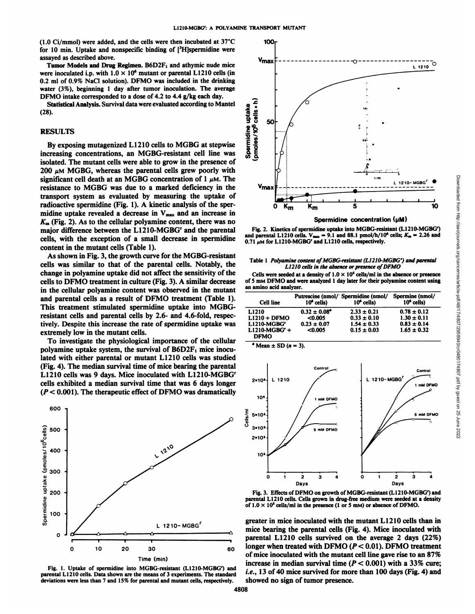(1.0 Ci/mmol) were added, and the cells were then incubated at 37°C for 10 min. Uptake and nonspecific binding of  $[3H]$ spermidine were assayed as described above.

Tumor Models and Drug Regimen.  $B6D2F_1$  and athymic nude mice<br>were inoculated i.p. with  $1.0 \times 10^6$  mutant or parental L1210 cells (in 0.2 ml of 0.9% NaCl solution). DFMO was included in the drinking water (3%), beginning 1 day after tumor inoculation. The average DFMO intake corresponded to a dose of 4.2 to 4.4 g/kg each day.

(28).

#### RESULTS

Statistical Analysis. Survival data were evaluated according to Mantel<br>
8).<br>
ESULTS<br>
By exposing mutagenized L1210 cells to MGBG at stepwise<br>
creasing concentrations, an MGBG-resistant cell line was<br>  $\frac{8}{3}$ <br>  $\frac{6}{3}$ By exposing mutagenized LI210 cells to MGBG at stepwise increasing concentrations, an MGBG-resistant cell line was isolated. The mutant cells were able to grow in the presence of 200  $\mu$ M MGBG, whereas the parental cells grew poorly with significant cell death at an MGBG concentration of 1  $\mu$ M. The<br>resistance to MGBG was due to a marked deficiency in the  $V_{\text{max}}$ resistance to MGBG was due to a marked deficiency in the transport system as evaluated by measuring the uptake of radioactive spermidine (Fig. 1). A kinetic analysis of the spermidine uptake revealed a decrease in  $V_{\text{max}}$  and an increase in *Km (Fig. 2). As to the cellular polyamine content, there was no* major difference between the L1210-MGBG' and the parental cells, with the exception of a small decrease in spermidine content in the mutant cells (Table 1).

As shown in Fig.3, the growth curve for the MGBG-resistant cells was similar to that of the parental cells. Notably, the change in polyamine uptake did not affect the sensitivity of the cells to DFMO treatment in culture (Fig. 3). A similar decrease in the cellular polyamine content was observed in the mutant and parental cells as a result of DFMO treatment (Table 1). This treatment stimulated spermidine uptake into MGBGresistant cells and parental cells by 2.6- and 4.6-fold, respec tively. Despite this increase the rate of spermidine uptake was extremely low in the mutant cells.

To investigate the physiological importance of the cellular polyamine uptake system, the survival of  $B6D2F<sub>1</sub>$  mice inoculated with either parental or mutant LI210 cells was studied (Fig. 4). The median survival time of mice bearing the parental LI210 cells was <sup>9</sup> days. Mice inoculated with L1210-MGBGr cells exhibited a median survival time that was 6 days longer  $2*10*$ *(P < 0.001). The therapeutic effect of DFMO was dramatically*



Fig. 1. Uptake of spermidine into MGBG-resistant (L1210-MGBG') and parental L1210 cells. Data shown are the means of 3 experiments. The standard deviations were less than 7 and 15% for parental and mutant cells, respectively.



Spermidine concentration (pM)

Fig. 2. Kinetics of spermidine uptake into MGBG-resistant (L1210-MGBG') and parental L1210 cells.  $V_{\text{max}} = 9.1$  and 88.1 pmol/h/10<sup>6</sup> cells;  $K_{\text{m}} = 2.26$  and  $0.71 \mu$ M for L1210-MGBG' and L1210 cells, respectively.

#### Table 1 Polyamine content of MGBG-resistant (L1210-MGBG') and parental *LI 210 cells in the absence or presence ofDFMO*

Cells were seeded at a density of  $1.0 \times 10^5$  cells/ml in the absence or presence of 5 mm DFMO and were analyzed 1 day later for their polyamine content using an amino acid analyzer.

| Cell line                      | $106$ cells)            | Putrescine (nmol/ Spermidine (nmol/<br>$106$ cells) | Spermine (nmol/<br>$106$ cells) |
|--------------------------------|-------------------------|-----------------------------------------------------|---------------------------------|
| L1210                          | $0.32 \pm 0.08^{\circ}$ | $2.33 \pm 0.21$                                     | $0.78 \pm 0.12$                 |
| $L1210 + DFMO$                 | < 0.005                 | $0.33 \pm 0.10$                                     | $1.30 \pm 0.11$                 |
| L1210-MGBG'                    | $0.23 \pm 0.07$         | $1.54 \pm 0.33$                                     | $0.83 \pm 0.14$                 |
| $L1210-MGBG' +$<br><b>DFMO</b> | < 0.005                 | $0.15 \pm 0.03$                                     | $1.65 \pm 0.32$                 |

 $\textdegree$  Mean  $\pm$  SD ( $n = 3$ ).



Fig. 3. Effects of DFMO on growth of MGBG-resistant (L1210-MGBG') and parental L1210 cells. Cells grown in drug-free medium were seeded at a density of  $1.0 \times 10^5$  cells/ml in the presence (1 or 5 mm) or absence of DFMO.

 $_{60}$  longer when treated with DFMO ( $P < 0.01$ ). DFMO treatment greater in mice inoculated with the mutant LI210 cells than in mice bearing the parental cells (Fig. 4). Mice inoculated with parental LI210 cells survived on the average 2 days (22%) of mice inoculated with the mutant cell line gave rise to an 87% increase in median survival time ( $P < 0.001$ ) with a 33% cure; *i.e., 13 of 40 mice survived for more than 100 days (Fig. 4) and* showed no sign of tumor presence.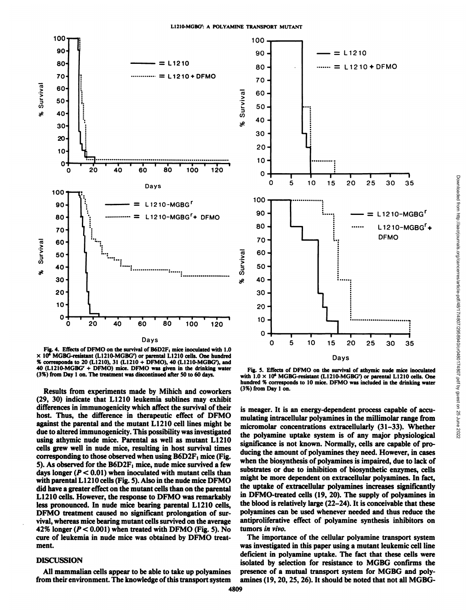

Fig. 4. Effects of DFMO on the survival of B6D2F, mice inoculated with 1.0  $\times$  10<sup>6</sup> MGBG-resistant (L1210-MGBG') or parental L1210 cells. One hundred % corresponds to 20 (L1210), 31 (L1210 + DFMO), 40 (L1210-MGBG'), and 40 (L1210-MGBG' + DFMO) mice. DFMO was given in the drinking water (3%) from Day 1 on. The treatment was discontinued after 50 to 60 days.

Results from experiments made by Mihich and coworkers (29, 30) indicate that LI210 leukemia sublines may exhibit differences in immunogenicity which affect the survival of their host. Thus, the difference in therapeutic effect of DFMO against the parental and the mutant LI210 cell lines might be due to altered immunogenicity. This possibility was investigated using athymic nude mice. Parental as well as mutant LI210 cells grew well in nude mice, resulting in host survival times corresponding to those observed when using  $B6D2F_1$  mice (Fig. 5). As observed for the  $B6D2F<sub>1</sub>$  mice, nude mice survived a few days longer ( $P < 0.01$ ) when inoculated with mutant cells than with parental L1210 cells (Fig. 5). Also in the nude mice DFMO did have a greater effect on the mutant cells than on the parental LI210 cells. However, the response to DFMO was remarkably less pronounced. In nude mice bearing parental LI210 cells, DFMO treatment caused no significant prolongation of sur vival, whereas mice bearing mutant cells survived on the average 42% longer ( $P < 0.001$ ) when treated with DFMO (Fig. 5). No cure of leukemia in nude mice was obtained by DFMO treat ment.

## DISCUSSION

All mammalian cells appear to be able to take up polyamines from their environment. The knowledge of this transport system



with  $1.0 \times 10^6$  MGBG-resistant (L1210-MGBG') or parental L1210 cells. One hundred % corresponds to 10 mice. DFMO was included in the drinking water (3%) from Day1 on.

is meager. It is an energy-dependent process capable of accu mulating intracellular polyamines in the millimolar range from micromolar concentrations extracellularly (31-33). Whether the polyamine uptake system is of any major physiological significance is not known. Normally, cells are capable of pro ducing the amount of polyamines they need. However, in cases when the biosynthesis of polyamines is impaired, due to lack of substrates or due to inhibition of biosynthetic enzymes, cells might be more dependent on extracellular polyamines. In fact, the uptake of extracellular polyamines increases significantly in DFMO-treated cells (19, 20). The supply of polyamines in the blood is relatively large (22-24). It is conceivable that these polyamines can be used whenever needed and thus reduce the antiproliferative effect of polyamine synthesis inhibitors on tumors in vivo.

The importance of the cellular polyamine transport system was investigated in this paper using a mutant leukemic cell line deficient in polyamine uptake. The fact that these cells were isolated by selection for resistance to MGBG confirms the presence of a mutual transport system for MGBG and poly amines (19, 20, 25, 26). It should be noted that not all MGBG-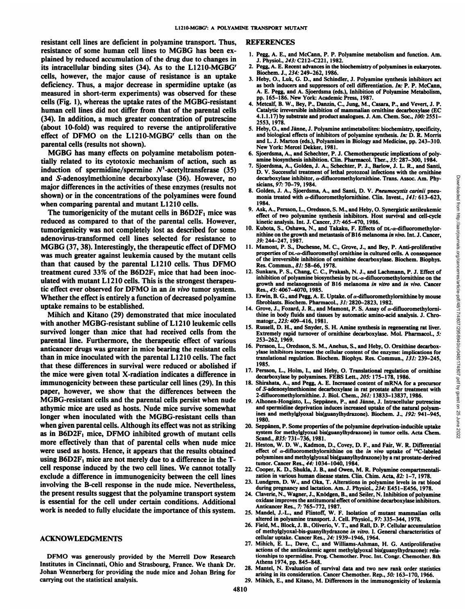resistant cell lines are deficient in polyamine transport. Thus, resistance of some human cell lines to MGBG has been ex plained by reduced accumulation of the drug due to changes in its intracellular binding sites (34). As to the L1210-MGBGr cells, however, the major cause of resistance is an uptake deficiency. Thus, a major decrease in spermidine uptake (as measured in short-term experiments) was observed for these cells (Fig. 1), whereas the uptake rates of the MGBG-resistant human cell lines did not differ from that of the parental cells (34). In addition, a much greater concentration of putrescine (about 10-fold) was required to reverse the antiproliferative effect of DFMO on the L1210-MGBG<sup>r</sup> cells than on the parental cells (results not shown).

MGBG has many effects on polyamine metabolism poten tially related to its cytotoxic mechanism of action, such as induction of spermidine/spermine  $N<sup>1</sup>$ -acetyltransferase (35) and S-adenosylmethionine decarboxylase (36). However, no major differences in the activities of these enzymes (results not shown) or in the concentrations of the polyamines were found when comparing parental and mutant LI210 cells.

The tumorigenicity of the mutant cells in  $B6D2F<sub>1</sub>$  mice was reduced as compared to that of the parental cells. However, tumorigenicity was not completely lost as described for some adenovirus-transformed cell lines selected for resistance to MGBG (37, 38). Interestingly, the therapeutic effect of DFMO was much greater against leukemia caused by the mutant cells than that caused by the parental LI210 cells. Thus DFMO treatment cured  $33\%$  of the B6D2F<sub>1</sub> mice that had been inoculated with mutant LI210 cells. This is the strongest therapeu tic effect ever observed for DFMO in an in vivo tumor system. Whether the effect is entirely a function of decreased polyamine uptake remains to be established.

Mihich and Kitano (29) demonstrated that mice inoculated with another MGBG-resistant subline of LI210 leukemic cells survived longer than mice that had received cells from the parental line. Furthermore, the therapeutic effect of various anticancer drugs was greater in mice bearing the resistant cells than in mice inoculated with the parental L1210 cells. The fact that these differences in survival were reduced or abolished if the mice were given total X-radiation indicates a difference in immunogenicity between these particular cell lines (29). In this paper, however, we show that the differences between the MGBG-resistant cells and the parental cells persist when nude athymic mice are used as hosts. Nude mice survive somewhat longer when inoculated with the MGBG-resistant cells than when given parental cells. Although its effect was not as striking as in  $B6D2F_1$  mice, DFMO inhibited growth of mutant cells more effectively than that of parental cells when nude mice were used as hosts. Hence, it appears that the results obtained using  $B6D2F<sub>1</sub>$  mice are not merely due to a difference in the Tcell response induced by the two cell lines. We cannot totally exclude a difference in immunogenicity between the cell lines involving the B-cell response in the nude mice. Nevertheless, the present results suggest that the polyamine transport system is essential for the cell under certain conditions. Additional work is needed to fully elucidate the importance of this system.

#### ACKNOWLEDGMENTS

DFMO was generously provided by the Merrell Dow Research Institutes in Cincinnati, Ohio and Strasbourg, France. We thank Dr. Johan Wennerberg for providing the nude mice and Johan Bring for carrying out the statistical analysis.

#### REFERENCES

- 1. Pegg, A. E., and McCann, P. P. Polyamine metabolism and function. Am. J. Physiol., 243: C212-C221, 1982.
- 2. Pegg, A. E. Recent advances in the biochemistry of polyamines in eukaryotes. Biochem. J., 234: 249-262, 1986.
- 3. Heby, O., Luk, G. D., and Schindler, J. Polyamine synthesis inhibitors act as both inducers and suppressors of cell differentiation. In: P. P. McCann, A. E. Pegg, and A. Sjoerdsma (eds.). Inhibition of Polyamine Metabolism, pp. 165-186. New York: Academic Press, 1987.
- 4. Metcalf, B. W., Bey, P., Danzin, C., Jung, M., Casara, P., and Vevert, J. P. Catalytic irreversible inhibition of mammalian ornithine decarboxylase (EC 4.1.1.17) by substrate and product analogues. J. Am. Chem. Soc., 100: 2551-2553, 1978.
- 5. Heby, O., and Jänne, J. Polyamine antimetabolites: biochemistry, specificity, and biological effects of inhibitors of polyamine synthesis. In: D. R. Morris and L. J. Marton (eds.), Polyamines in Biology and Medicine, pp. 243-310. New York: Mercel Dekker, 1981.
- 6. Sjoerdsma, A., and Schechter, P. J. Chemotherapeutic implications of poly amine biosynthesis inhibition. Clin. Pharmacol. Ther., 35: 287-300, 1984.
- 7. Sjoerdsma, A., Golden, J. A., Schechter, P. J., Barlow, J. L. R., and Santi, decarboxylase inhibitor, a-difluoromethylornithine. Trans. Assoc. Am. Phy sicians, 97: 70-79, 1984.
- 8. Golden, J. A., Sjoerdsma, A., and Santi, D. V. Pneumocystis carinii pneu monia treated with  $\alpha$ -difluoromethylornithine. Clin. Invest., 141: 613-623, 1984.
- 9. Ask, A., Persson, L., Oredsson, S. M., and Heby, O. Synergistic antileukemic effect of two polyamine synthesis inhibitors. Host survival and cell-cycle kinetic analysis. Int. J. Cancer, 37:465-470, 1986.
- 10. Kubota, S., Oshawa, N., and Takaku, F. Effects of DL-a-difluoromethylornithine on the growth and metastasis of B16 melanoma in vivo. Int. J. Cancer, 59:244-247, 1987.
- D. V. Successful treatment of lethal protozoal infections with the ornithine<br>decarboxylass inhibitor,  $\alpha$ -difluoromethylornithine. Trans. Assoc. Am. Phy-<br>sicinas, 97: 70-79, 1984.<br>Golden, J. A., Siperdsma, A., and Santi, 11. Mamont, P. S., Duchesne, M. C., Grove, J., and Bey, P. Anti-proliferative properties of DL-a-difluoromethyl ornithine in cultured cells. A consequence of the irreversible inhibition of ornithine decarboxylase. Biochem. Biophys. Res. Commun., 81: 58-66, 1978.
- 12. Sunkara, P. S., Chang, C. C., Prakash, N. J., and Lachmann, P. J. Effect of inhibition of polyamine biosynthesis by DL-a-difiuoromethylornithine on the growth and melanogenesis of B16 melanoma in vitro and in vivo. Cancer Res., 45:4067-4070. 1985.
- 13. Erwin, B. G., and Pegg, A. E. Uptake. of  $\alpha$ -difluoromethylornithine by mouse fibroblasts. Biochem. Pharmacol., 31: 2820-2823, 1982.
- 14. Grove, J., Fozard, J. R., and Mamont, P. S. Assay of  $\alpha$ -difluoromethylornithine in body fluids and tissues by automatic amino acid analysis. J. Chromatogr., 223:409-416, 1981.
- 15. Russell, D. H., and Snyder, S. H. Amine synthesis in regenerating rat liver. Extremely rapid turnover of ornithine decarboxylase. Mol. Pharmacol., 5: 253-262, 1969.
- 16. Persson, L., Oredsson, S. M., Anehus, S., and Heby, O. Ornithine decarbox ylase inhibitors increase the cellular content of the enzyme: implications for translational regulation. Biochem. Biophys. Res. Commun., 131: 239-245, 1985.
- 17. Persson, L., Holm, I., and Heby, O. Translational regulation of ornithine decarboxylase by polyamines. FEBS Lett., 205:175-178, 1986.
- 18. Shirahata, A., and Pegg, A. E. Increased content of mRNA for a precursor of 5-adenosylmethionine decarboxylase in rat prostate after treatment with 2-difluoromethylornithine. J. Biol. Chem., 261:13833-13837,1986.
- 19. Alhonen-Hongisto, L., Seppänen, P., and Jänne, J. Intracellular putrescine and spermidine deprivation induces increased uptake of the natural polyam ines and methylglyoxal bis(guanylhydrazone). Biochem. J., 192: 941-945, 1980.
- 20. Seppänen, P. Some properties of the polyamine deprivation-inducible uptake system for methylglyoxal bis(guanylhydrazone) in tumor cells. Acta Chem. Scand., *B35:* 731–736, 1981.
- 21. Heston, W. D. W., Kadmon, D., Covey, D. F., and Fair, W. R. Differential effect of  $\alpha$ -difluoromethylornithine on the in vivo uptake of <sup>14</sup>C-labeled polyamines and methylglyoxal bis(guanylhydrazone) by a rat prostate-derived tumor. Cancer Res., 44: 1034-1040, 1984.
- 22. Cooper, K. D., Shukla, J. B., and Owen, M. R. Polyamine compartmentalization in various human disease states. Clin. Chim. Acta, 82: 1-7, 1978.
- 23. Lundgren. D. W., and Oka, T. Alterations in polyamine levels in rat blood during pregnancy and lactation. Am. J. Physiol., 234: E451-E456, 1978.
- 24. Claverie, N., Wagner, J., Knödgen, B., and Seiler, N. Inhibition of polyamine oxidase improves the amitumoral effect of ornithine decarboxylase inhibitors. Anticancer Res., 7: 765-772, 1987.
- 25. Mandel, J.-L., and Flintoff, W. F. Isolation of mutant mammalian cells altered in polyamine transport. J. Cell. Physiol., 97:335-344, 1978.
- 26. Field, M., Block, J. B., Oliverio, V. T., and Rail, D. P. Cellular accumulation of methylglyoxal-bis-guanylhydrazone in viiro. I. General characteristics of cellular uptake. Cancer Res., 24: 1939-1946, 1964.
- 27. Mihich, E. L., Dave, C., and Williams-Ashman, H. G. Antiproliferative actions of the antileukemic agent methylglyoxal bis(guanylhydrazone): rela tionships to spermidine. Prog. Chemother. Proc. Int. Congr. Chemother. 8th Athens 1974, pp. 845-848.
- Mantel, N. Evaluation of survival data and two new rank order statistics arising in its consideration. Cancer Chemother. Rep., 50: 163-170, 1966.
- 29. Mihich, E., and Kitano, M. Differences in the immunogenicity of leukemia